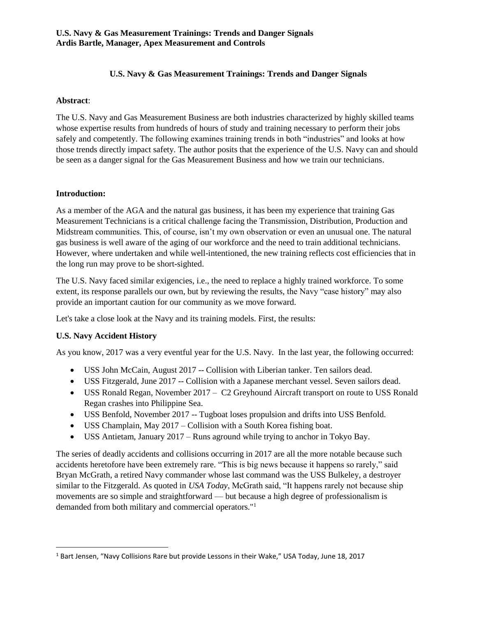## **U.S. Navy & Gas Measurement Trainings: Trends and Danger Signals**

### **Abstract**:

The U.S. Navy and Gas Measurement Business are both industries characterized by highly skilled teams whose expertise results from hundreds of hours of study and training necessary to perform their jobs safely and competently. The following examines training trends in both "industries" and looks at how those trends directly impact safety. The author posits that the experience of the U.S. Navy can and should be seen as a danger signal for the Gas Measurement Business and how we train our technicians.

## **Introduction:**

As a member of the AGA and the natural gas business, it has been my experience that training Gas Measurement Technicians is a critical challenge facing the Transmission, Distribution, Production and Midstream communities. This, of course, isn't my own observation or even an unusual one. The natural gas business is well aware of the aging of our workforce and the need to train additional technicians. However, where undertaken and while well-intentioned, the new training reflects cost efficiencies that in the long run may prove to be short-sighted.

The U.S. Navy faced similar exigencies, i.e., the need to replace a highly trained workforce. To some extent, its response parallels our own, but by reviewing the results, the Navy "case history" may also provide an important caution for our community as we move forward.

Let's take a close look at the Navy and its training models. First, the results:

#### **U.S. Navy Accident History**

 $\overline{\phantom{a}}$ 

As you know, 2017 was a very eventful year for the U.S. Navy. In the last year, the following occurred:

- USS John McCain, August 2017 -- Collision with Liberian tanker. Ten sailors dead.
- USS Fitzgerald, June 2017 -- Collision with a Japanese merchant vessel. Seven sailors dead.
- USS Ronald Regan, November 2017 C2 Greyhound Aircraft transport on route to USS Ronald Regan crashes into Philippine Sea.
- USS Benfold, November 2017 -- Tugboat loses propulsion and drifts into USS Benfold.
- USS Champlain, May 2017 Collision with a South Korea fishing boat.
- USS Antietam, January 2017 Runs aground while trying to anchor in Tokyo Bay.

The series of deadly accidents and collisions occurring in 2017 are all the more notable because such accidents heretofore have been extremely rare. "This is big news because it happens so rarely," said Bryan McGrath, a retired Navy commander whose last command was the USS Bulkeley, a destroyer similar to the Fitzgerald. As quoted in *USA Today*, McGrath said, "It happens rarely not because ship movements are so simple and straightforward — but because a high degree of professionalism is demanded from both military and commercial operators."<sup>1</sup>

<sup>1</sup> Bart Jensen, "Navy Collisions Rare but provide Lessons in their Wake," USA Today, June 18, 2017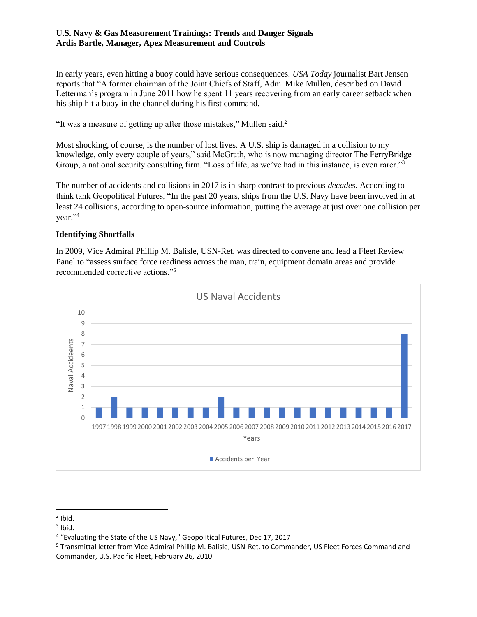In early years, even hitting a buoy could have serious consequences. *USA Today* journalist Bart Jensen reports that "A former chairman of the Joint Chiefs of Staff, Adm. Mike Mullen, described on David Letterman's program in June 2011 how he spent 11 years recovering from an early career setback when his ship hit a buoy in the channel during his first command.

"It was a measure of getting up after those mistakes," Mullen said.<sup>2</sup>

Most shocking, of course, is the number of lost lives. A U.S. ship is damaged in a collision to my knowledge, only every couple of years," said McGrath, who is now managing director The FerryBridge Group, a national security consulting firm. "Loss of life, as we've had in this instance, is even rarer."<sup>3</sup>

The number of accidents and collisions in 2017 is in sharp contrast to previous *decades*. According to think tank Geopolitical Futures, "In the past 20 years, ships from the U.S. Navy have been involved in at least 24 collisions, according to open-source information, putting the average at just over one collision per year." 4

## **Identifying Shortfalls**

In 2009, Vice Admiral Phillip M. Balisle, USN-Ret. was directed to convene and lead a Fleet Review Panel to "assess surface force readiness across the man, train, equipment domain areas and provide recommended corrective actions."<sup>5</sup>



 $<sup>2</sup>$  Ibid.</sup>

 $3$  Ibid.

<sup>4</sup> "Evaluating the State of the US Navy," Geopolitical Futures, Dec 17, 2017

<sup>5</sup> Transmittal letter from Vice Admiral Phillip M. Balisle, USN-Ret. to Commander, US Fleet Forces Command and Commander, U.S. Pacific Fleet, February 26, 2010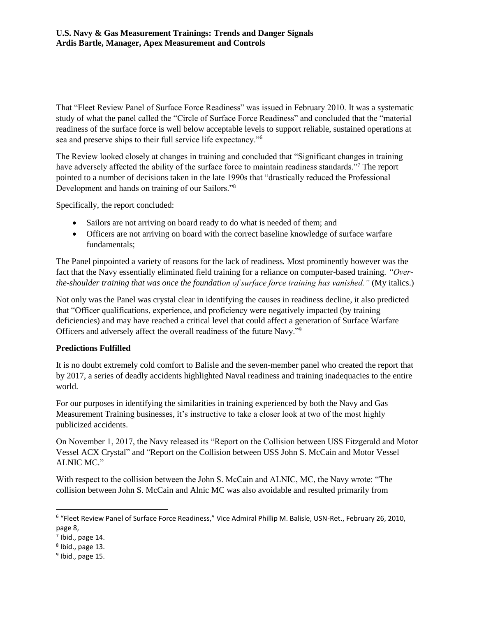That "Fleet Review Panel of Surface Force Readiness" was issued in February 2010. It was a systematic study of what the panel called the "Circle of Surface Force Readiness" and concluded that the "material readiness of the surface force is well below acceptable levels to support reliable, sustained operations at sea and preserve ships to their full service life expectancy."<sup>6</sup>

The Review looked closely at changes in training and concluded that "Significant changes in training have adversely affected the ability of the surface force to maintain readiness standards."<sup>7</sup> The report pointed to a number of decisions taken in the late 1990s that "drastically reduced the Professional Development and hands on training of our Sailors."<sup>8</sup>

Specifically, the report concluded:

- Sailors are not arriving on board ready to do what is needed of them; and
- Officers are not arriving on board with the correct baseline knowledge of surface warfare fundamentals;

The Panel pinpointed a variety of reasons for the lack of readiness. Most prominently however was the fact that the Navy essentially eliminated field training for a reliance on computer-based training. *"Overthe-shoulder training that was once the foundation of surface force training has vanished."* (My italics.)

Not only was the Panel was crystal clear in identifying the causes in readiness decline, it also predicted that "Officer qualifications, experience, and proficiency were negatively impacted (by training deficiencies) and may have reached a critical level that could affect a generation of Surface Warfare Officers and adversely affect the overall readiness of the future Navy."<sup>9</sup>

# **Predictions Fulfilled**

It is no doubt extremely cold comfort to Balisle and the seven-member panel who created the report that by 2017, a series of deadly accidents highlighted Naval readiness and training inadequacies to the entire world.

For our purposes in identifying the similarities in training experienced by both the Navy and Gas Measurement Training businesses, it's instructive to take a closer look at two of the most highly publicized accidents.

On November 1, 2017, the Navy released its "Report on the Collision between USS Fitzgerald and Motor Vessel ACX Crystal" and "Report on the Collision between USS John S. McCain and Motor Vessel ALNIC MC."

With respect to the collision between the John S. McCain and ALNIC, MC, the Navy wrote: "The collision between John S. McCain and Alnic MC was also avoidable and resulted primarily from

 $<sup>7</sup>$  Ibid., page 14.</sup>

<sup>&</sup>lt;sup>6</sup> "Fleet Review Panel of Surface Force Readiness," Vice Admiral Phillip M. Balisle, USN-Ret., February 26, 2010, page 8,

 $8$  Ibid., page 13.

<sup>&</sup>lt;sup>9</sup> Ibid., page 15.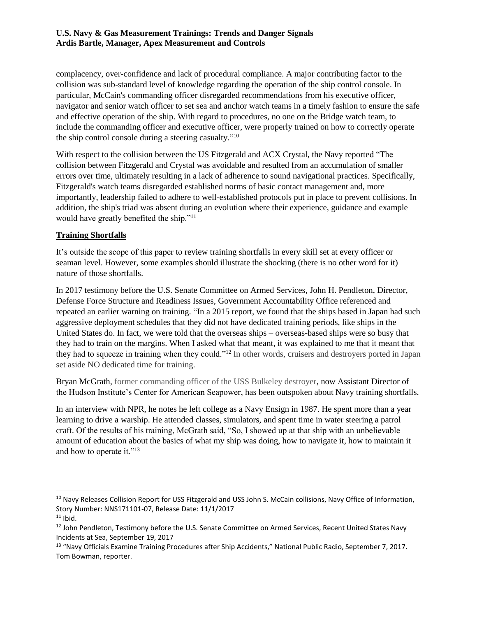complacency, over-confidence and lack of procedural compliance. A major contributing factor to the collision was sub-standard level of knowledge regarding the operation of the ship control console. In particular, McCain's commanding officer disregarded recommendations from his executive officer, navigator and senior watch officer to set sea and anchor watch teams in a timely fashion to ensure the safe and effective operation of the ship. With regard to procedures, no one on the Bridge watch team, to include the commanding officer and executive officer, were properly trained on how to correctly operate the ship control console during a steering casualty."<sup>10</sup>

With respect to the collision between the US Fitzgerald and ACX Crystal, the Navy reported "The collision between Fitzgerald and Crystal was avoidable and resulted from an accumulation of smaller errors over time, ultimately resulting in a lack of adherence to sound navigational practices. Specifically, Fitzgerald's watch teams disregarded established norms of basic contact management and, more importantly, leadership failed to adhere to well-established protocols put in place to prevent collisions. In addition, the ship's triad was absent during an evolution where their experience, guidance and example would have greatly benefited the ship."<sup>11</sup>

# **Training Shortfalls**

It's outside the scope of this paper to review training shortfalls in every skill set at every officer or seaman level. However, some examples should illustrate the shocking (there is no other word for it) nature of those shortfalls.

In 2017 testimony before the U.S. Senate Committee on Armed Services, John H. Pendleton, Director, Defense Force Structure and Readiness Issues, Government Accountability Office referenced and repeated an earlier warning on training. "In a 2015 report, we found that the ships based in Japan had such aggressive deployment schedules that they did not have dedicated training periods, like ships in the United States do. In fact, we were told that the overseas ships – overseas-based ships were so busy that they had to train on the margins. When I asked what that meant, it was explained to me that it meant that they had to squeeze in training when they could."<sup>12</sup> In other words, cruisers and destroyers ported in Japan set aside NO dedicated time for training.

Bryan McGrath, former commanding officer of the USS Bulkeley destroyer, now Assistant Director of the Hudson Institute's Center for American Seapower, has been outspoken about Navy training shortfalls.

In an interview with NPR, he notes he left college as a Navy Ensign in 1987. He spent more than a year learning to drive a warship. He attended classes, simulators, and spent time in water steering a patrol craft. Of the results of his training, McGrath said, "So, I showed up at that ship with an unbelievable amount of education about the basics of what my ship was doing, how to navigate it, how to maintain it and how to operate it."<sup>13</sup>

<sup>&</sup>lt;sup>10</sup> Navy Releases Collision Report for USS Fitzgerald and USS John S. McCain collisions, Navy Office of Information, Story Number: NNS171101-07, Release Date: 11/1/2017

 $11$  Ibid.

<sup>&</sup>lt;sup>12</sup> John Pendleton, Testimony before the U.S. Senate Committee on Armed Services, Recent United States Navy Incidents at Sea, September 19, 2017

<sup>&</sup>lt;sup>13</sup> "Navy Officials Examine Training Procedures after Ship Accidents," National Public Radio, September 7, 2017. Tom Bowman, reporter.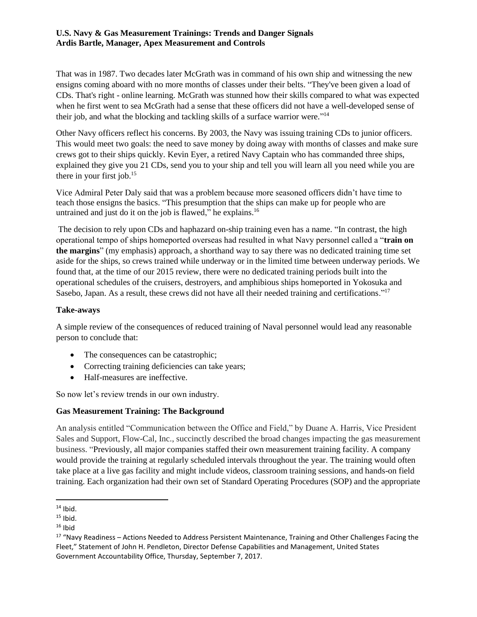That was in 1987. Two decades later McGrath was in command of his own ship and witnessing the new ensigns coming aboard with no more months of classes under their belts. "They've been given a load of CDs. That's right - online learning. McGrath was stunned how their skills compared to what was expected when he first went to sea McGrath had a sense that these officers did not have a well-developed sense of their job, and what the blocking and tackling skills of a surface warrior were." 14

Other Navy officers reflect his concerns. By 2003, the Navy was issuing training CDs to junior officers. This would meet two goals: the need to save money by doing away with months of classes and make sure crews got to their ships quickly. Kevin Eyer, a retired Navy Captain who has commanded three ships, explained they give you 21 CDs, send you to your ship and tell you will learn all you need while you are there in your first job. $15$ 

Vice Admiral Peter Daly said that was a problem because more seasoned officers didn't have time to teach those ensigns the basics. "This presumption that the ships can make up for people who are untrained and just do it on the job is flawed," he explains.<sup>16</sup>

The decision to rely upon CDs and haphazard on-ship training even has a name. "In contrast, the high operational tempo of ships homeported overseas had resulted in what Navy personnel called a "**train on the margins**" (my emphasis) approach, a shorthand way to say there was no dedicated training time set aside for the ships, so crews trained while underway or in the limited time between underway periods. We found that, at the time of our 2015 review, there were no dedicated training periods built into the operational schedules of the cruisers, destroyers, and amphibious ships homeported in Yokosuka and Sasebo, Japan. As a result, these crews did not have all their needed training and certifications."<sup>17</sup>

#### **Take-aways**

A simple review of the consequences of reduced training of Naval personnel would lead any reasonable person to conclude that:

- The consequences can be catastrophic;
- Correcting training deficiencies can take years;
- Half-measures are ineffective.

So now let's review trends in our own industry.

#### **Gas Measurement Training: The Background**

An analysis entitled "Communication between the Office and Field," by Duane A. Harris, Vice President Sales and Support, Flow-Cal, Inc., succinctly described the broad changes impacting the gas measurement business. "Previously, all major companies staffed their own measurement training facility. A company would provide the training at regularly scheduled intervals throughout the year. The training would often take place at a live gas facility and might include videos, classroom training sessions, and hands-on field training. Each organization had their own set of Standard Operating Procedures (SOP) and the appropriate

l  $14$  Ibid.

 $15$  Ibid.

 $16$  Ibid

<sup>&</sup>lt;sup>17</sup> "Navy Readiness – Actions Needed to Address Persistent Maintenance, Training and Other Challenges Facing the Fleet," Statement of John H. Pendleton, Director Defense Capabilities and Management, United States Government Accountability Office, Thursday, September 7, 2017.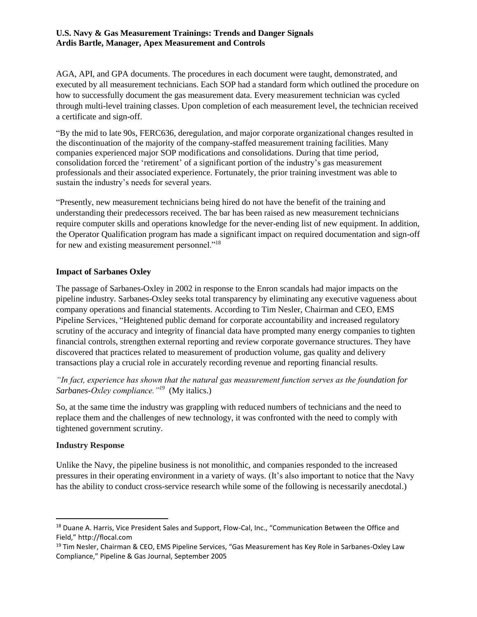AGA, API, and GPA documents. The procedures in each document were taught, demonstrated, and executed by all measurement technicians. Each SOP had a standard form which outlined the procedure on how to successfully document the gas measurement data. Every measurement technician was cycled through multi-level training classes. Upon completion of each measurement level, the technician received a certificate and sign-off.

"By the mid to late 90s, FERC636, deregulation, and major corporate organizational changes resulted in the discontinuation of the majority of the company-staffed measurement training facilities. Many companies experienced major SOP modifications and consolidations. During that time period, consolidation forced the 'retirement' of a significant portion of the industry's gas measurement professionals and their associated experience. Fortunately, the prior training investment was able to sustain the industry's needs for several years.

"Presently, new measurement technicians being hired do not have the benefit of the training and understanding their predecessors received. The bar has been raised as new measurement technicians require computer skills and operations knowledge for the never-ending list of new equipment. In addition, the Operator Qualification program has made a significant impact on required documentation and sign-off for new and existing measurement personnel."<sup>18</sup>

# **Impact of Sarbanes Oxley**

The passage of Sarbanes-Oxley in 2002 in response to the Enron scandals had major impacts on the pipeline industry. Sarbanes-Oxley seeks total transparency by eliminating any executive vagueness about company operations and financial statements. According to Tim Nesler, Chairman and CEO, EMS Pipeline Services, "Heightened public demand for corporate accountability and increased regulatory scrutiny of the accuracy and integrity of financial data have prompted many energy companies to tighten financial controls, strengthen external reporting and review corporate governance structures. They have discovered that practices related to measurement of production volume, gas quality and delivery transactions play a crucial role in accurately recording revenue and reporting financial results.

*"In fact, experience has shown that the natural gas measurement function serves as the foundation for Sarbanes-Oxley compliance."<sup>19</sup>* (My italics.)

So, at the same time the industry was grappling with reduced numbers of technicians and the need to replace them and the challenges of new technology, it was confronted with the need to comply with tightened government scrutiny.

#### **Industry Response**

l

Unlike the Navy, the pipeline business is not monolithic, and companies responded to the increased pressures in their operating environment in a variety of ways. (It's also important to notice that the Navy has the ability to conduct cross-service research while some of the following is necessarily anecdotal.)

<sup>&</sup>lt;sup>18</sup> Duane A. Harris, Vice President Sales and Support, Flow-Cal, Inc., "Communication Between the Office and Field," http://flocal.com

<sup>&</sup>lt;sup>19</sup> Tim Nesler, Chairman & CEO, EMS Pipeline Services, "Gas Measurement has Key Role in Sarbanes-Oxley Law Compliance," Pipeline & Gas Journal, September 2005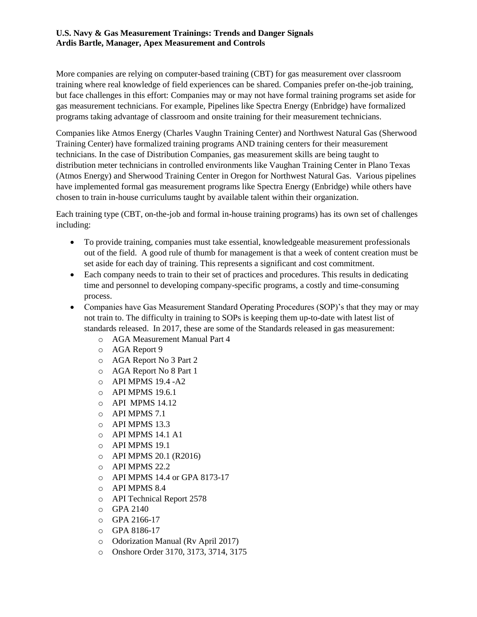More companies are relying on computer-based training (CBT) for gas measurement over classroom training where real knowledge of field experiences can be shared. Companies prefer on-the-job training, but face challenges in this effort: Companies may or may not have formal training programs set aside for gas measurement technicians. For example, Pipelines like Spectra Energy (Enbridge) have formalized programs taking advantage of classroom and onsite training for their measurement technicians.

Companies like Atmos Energy (Charles Vaughn Training Center) and Northwest Natural Gas (Sherwood Training Center) have formalized training programs AND training centers for their measurement technicians. In the case of Distribution Companies, gas measurement skills are being taught to distribution meter technicians in controlled environments like Vaughan Training Center in Plano Texas (Atmos Energy) and Sherwood Training Center in Oregon for Northwest Natural Gas. Various pipelines have implemented formal gas measurement programs like Spectra Energy (Enbridge) while others have chosen to train in-house curriculums taught by available talent within their organization.

Each training type (CBT, on-the-job and formal in-house training programs) has its own set of challenges including:

- To provide training, companies must take essential, knowledgeable measurement professionals out of the field. A good rule of thumb for management is that a week of content creation must be set aside for each day of training. This represents a significant and cost commitment.
- Each company needs to train to their set of practices and procedures. This results in dedicating time and personnel to developing company-specific programs, a costly and time-consuming process.
- Companies have Gas Measurement Standard Operating Procedures (SOP)'s that they may or may not train to. The difficulty in training to SOPs is keeping them up-to-date with latest list of standards released. In 2017, these are some of the Standards released in gas measurement:
	- o AGA Measurement Manual Part 4
	- o AGA Report 9
	- o AGA Report No 3 Part 2
	- o AGA Report No 8 Part 1
	- o API MPMS 19.4 -A2
	- o API MPMS 19.6.1
	- o API MPMS 14.12
	- o API MPMS 7.1
	- o API MPMS 13.3
	- o API MPMS 14.1 A1
	- o API MPMS 19.1
	- o API MPMS 20.1 (R2016)
	- o API MPMS 22.2
	- o API MPMS 14.4 or GPA 8173-17
	- o API MPMS 8.4
	- o API Technical Report 2578
	- o GPA 2140
	- o GPA 2166-17
	- o GPA 8186-17
	- o Odorization Manual (Rv April 2017)
	- o Onshore Order 3170, 3173, 3714, 3175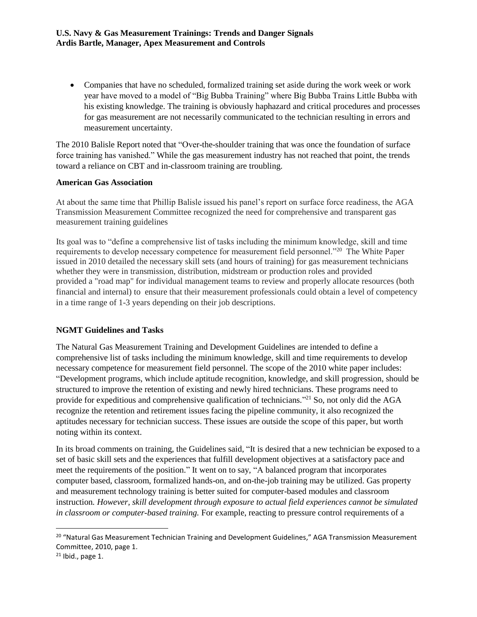• Companies that have no scheduled, formalized training set aside during the work week or work year have moved to a model of "Big Bubba Training" where Big Bubba Trains Little Bubba with his existing knowledge. The training is obviously haphazard and critical procedures and processes for gas measurement are not necessarily communicated to the technician resulting in errors and measurement uncertainty.

The 2010 Balisle Report noted that "Over-the-shoulder training that was once the foundation of surface force training has vanished." While the gas measurement industry has not reached that point, the trends toward a reliance on CBT and in-classroom training are troubling.

#### **American Gas Association**

At about the same time that Phillip Balisle issued his panel's report on surface force readiness, the AGA Transmission Measurement Committee recognized the need for comprehensive and transparent gas measurement training guidelines

Its goal was to "define a comprehensive list of tasks including the minimum knowledge, skill and time requirements to develop necessary competence for measurement field personnel."<sup>20</sup> The White Paper issued in 2010 detailed the necessary skill sets (and hours of training) for gas measurement technicians whether they were in transmission, distribution, midstream or production roles and provided provided a "road map" for individual management teams to review and properly allocate resources (both financial and internal) to ensure that their measurement professionals could obtain a level of competency in a time range of 1-3 years depending on their job descriptions.

#### **NGMT Guidelines and Tasks**

The Natural Gas Measurement Training and Development Guidelines are intended to define a comprehensive list of tasks including the minimum knowledge, skill and time requirements to develop necessary competence for measurement field personnel. The scope of the 2010 white paper includes: "Development programs, which include aptitude recognition, knowledge, and skill progression, should be structured to improve the retention of existing and newly hired technicians. These programs need to provide for expeditious and comprehensive qualification of technicians."<sup>21</sup> So, not only did the AGA recognize the retention and retirement issues facing the pipeline community, it also recognized the aptitudes necessary for technician success. These issues are outside the scope of this paper, but worth noting within its context.

In its broad comments on training, the Guidelines said, "It is desired that a new technician be exposed to a set of basic skill sets and the experiences that fulfill development objectives at a satisfactory pace and meet the requirements of the position." It went on to say, "A balanced program that incorporates computer based, classroom, formalized hands-on, and on-the-job training may be utilized. Gas property and measurement technology training is better suited for computer-based modules and classroom instruction*. However, skill development through exposure to actual field experiences cannot be simulated in classroom or computer-based training.* For example, reacting to pressure control requirements of a

 $\overline{a}$ 

<sup>&</sup>lt;sup>20</sup> "Natural Gas Measurement Technician Training and Development Guidelines," AGA Transmission Measurement Committee, 2010, page 1.

 $21$  Ibid., page 1.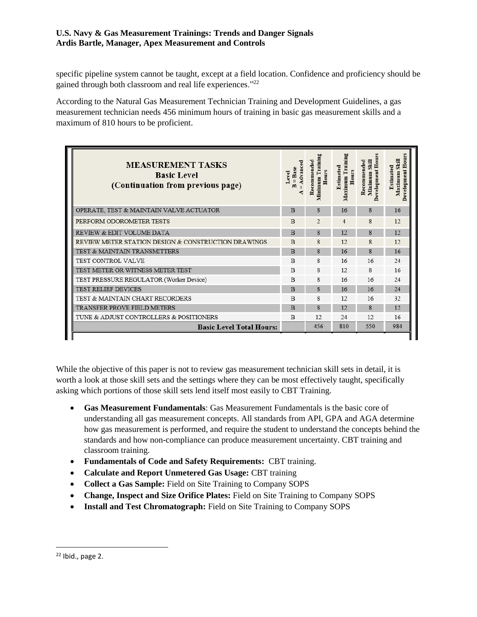specific pipeline system cannot be taught, except at a field location. Confidence and proficiency should be gained through both classroom and real life experiences."<sup>22</sup>

According to the Natural Gas Measurement Technician Training and Development Guidelines, a gas measurement technician needs 456 minimum hours of training in basic gas measurement skills and a maximum of 810 hours to be proficient.

| <b>MEASUREMENT TASKS</b><br><b>Basic Level</b><br>(Continuation from previous page) | $=$ Advanced<br>$=$ Base<br>evel. | Minimum Training<br>Recommended<br><b>Hours</b> | Maximum Training<br>Estimated<br><b>Hours</b> | Development Hour<br>Minimum Skill<br>Recommended | Hours<br>Skill<br>Estimated<br>evelopment<br>Maximum<br>≏ |
|-------------------------------------------------------------------------------------|-----------------------------------|-------------------------------------------------|-----------------------------------------------|--------------------------------------------------|-----------------------------------------------------------|
| OPERATE, TEST & MAINTAIN VALVE ACTUATOR                                             | B                                 | 8                                               | 16                                            | 8                                                | 16                                                        |
| PERFORM ODOROMETER TESTS                                                            | B                                 | $\overline{2}$                                  | $\overline{4}$                                | 8                                                | 12.                                                       |
| REVIEW & EDIT VOLUME DATA                                                           | $\overline{B}$                    | $\mathbf{R}$                                    | 12                                            | 8                                                | 12                                                        |
| REVIEW METER STATION DESIGN & CONSTRUCTION DRAWINGS                                 | $\overline{B}$                    | 8                                               | 12                                            | 8                                                | 12.                                                       |
| TEST & MAINTAIN TRANSMITTERS                                                        | $\overline{B}$                    | 8                                               | 16                                            | 8                                                | 16                                                        |
| TEST CONTROL VALVE                                                                  | B                                 | 8                                               | 16                                            | 16                                               | 24                                                        |
| TEST METER OR WITNESS METER TEST                                                    | B                                 | 8                                               | 12                                            | 8                                                | 16                                                        |
| TEST PRESSURE REGULATOR (Worker Device)                                             | B                                 | 8                                               | 16                                            | 16                                               | 24                                                        |
| <b>TEST RELIEF DEVICES</b>                                                          | B                                 | 8                                               | 16                                            | 16                                               | 2.4                                                       |
| TEST & MAINTAIN CHART RECORDERS                                                     | B                                 | 8                                               | 12                                            | 16                                               | 32                                                        |
| <b>TRANSFER PROVE FIELD METERS</b>                                                  | B                                 | 8                                               | 12                                            | 8                                                | 12                                                        |
| TUNE & ADJUST CONTROLLERS & POSITIONERS                                             | B                                 | 12                                              | 24                                            | 12                                               | 16                                                        |
| <b>Basic Level Total Hours:</b>                                                     |                                   | 456                                             | 810                                           | 550                                              | 984                                                       |
|                                                                                     |                                   |                                                 |                                               |                                                  |                                                           |

While the objective of this paper is not to review gas measurement technician skill sets in detail, it is worth a look at those skill sets and the settings where they can be most effectively taught, specifically asking which portions of those skill sets lend itself most easily to CBT Training.

- **Gas Measurement Fundamentals**: Gas Measurement Fundamentals is the basic core of understanding all gas measurement concepts. All standards from API, GPA and AGA determine how gas measurement is performed, and require the student to understand the concepts behind the standards and how non-compliance can produce measurement uncertainty. CBT training and classroom training.
- **Fundamentals of Code and Safety Requirements:** CBT training.
- **Calculate and Report Unmetered Gas Usage:** CBT training
- **Collect a Gas Sample:** Field on Site Training to Company SOPS
- **Change, Inspect and Size Orifice Plates:** Field on Site Training to Company SOPS
- **Install and Test Chromatograph:** Field on Site Training to Company SOPS

<sup>22</sup> Ibid., page 2.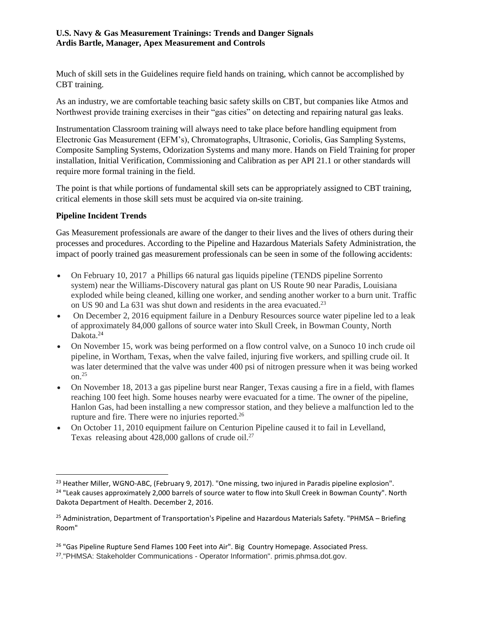Much of skill sets in the Guidelines require field hands on training, which cannot be accomplished by CBT training.

As an industry, we are comfortable teaching basic safety skills on CBT, but companies like Atmos and Northwest provide training exercises in their "gas cities" on detecting and repairing natural gas leaks.

Instrumentation Classroom training will always need to take place before handling equipment from Electronic Gas Measurement (EFM's), Chromatographs, Ultrasonic, Coriolis, Gas Sampling Systems, Composite Sampling Systems, Odorization Systems and many more. Hands on Field Training for proper installation, Initial Verification, Commissioning and Calibration as per API 21.1 or other standards will require more formal training in the field.

The point is that while portions of fundamental skill sets can be appropriately assigned to CBT training, critical elements in those skill sets must be acquired via on-site training.

## **Pipeline Incident Trends**

 $\overline{a}$ 

Gas Measurement professionals are aware of the danger to their lives and the lives of others during their processes and procedures. According to the Pipeline and Hazardous Materials Safety Administration, the impact of poorly trained gas measurement professionals can be seen in some of the following accidents:

- On February 10, 2017 a Phillips 66 natural gas liquids pipeline (TENDS pipeline Sorrento system) near the Williams-Discovery natural gas plant on US Route 90 near Paradis, Louisiana exploded while being cleaned, killing one worker, and sending another worker to a burn unit. Traffic on US 90 and La 631 was shut down and residents in the area evacuated.<sup>23</sup>
- On December 2, 2016 equipment failure in a Denbury Resources source water pipeline led to a leak of approximately 84,000 gallons of source water into Skull Creek, in Bowman County, North Dakota.<sup>24</sup>
- On November 15, work was being performed on a flow control valve, on a Sunoco 10 inch crude oil pipeline, in Wortham, Texas, when the valve failed, injuring five workers, and spilling crude oil. It was later determined that the valve was under 400 psi of nitrogen pressure when it was being worked on. $25$
- On November 18, 2013 a gas pipeline burst near Ranger, Texas causing a fire in a field, with flames reaching 100 feet high. Some houses nearby were evacuated for a time. The owner of the pipeline, Hanlon Gas, had been installing a new compressor station, and they believe a malfunction led to the rupture and fire. There were no injuries reported.<sup>26</sup>
- On October 11, 2010 equipment failure on Centurion Pipeline caused it to fail in Levelland, Texas releasing about  $428,000$  gallons of crude oil.<sup>27</sup>

<sup>&</sup>lt;sup>23</sup> Heather Miller, WGNO-ABC, (February 9, 2017). "One missing, two injured in Paradis pipeline explosion". <sup>24</sup> "Leak causes approximately 2,000 barrels of source water to flow into Skull Creek in Bowman County". North Dakota Department of Health. December 2, 2016.

<sup>&</sup>lt;sup>25</sup> Administration, Department of Transportation's Pipeline and Hazardous Materials Safety. "PHMSA – Briefing Room"

<sup>&</sup>lt;sup>26</sup> "Gas Pipeline Rupture Send Flames 100 Feet into Air". Big Country Homepage. Associated Press.

<sup>&</sup>lt;sup>27</sup>."PHMSA: Stakeholder Communications - Operator Information". primis.phmsa.dot.gov.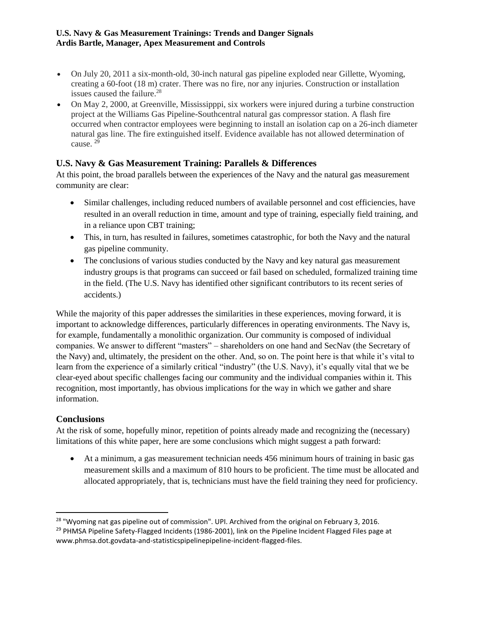- On July 20, 2011 a six-month-old, 30-inch natural gas pipeline exploded near Gillette, Wyoming, creating a 60-foot (18 m) crater. There was no fire, nor any injuries. Construction or installation issues caused the failure. 28
- On May 2, 2000, at Greenville, Mississipppi, six workers were injured during a turbine construction project at the Williams Gas Pipeline-Southcentral natural gas compressor station. A flash fire occurred when contractor employees were beginning to install an isolation cap on a 26-inch diameter natural gas line. The fire extinguished itself. Evidence available has not allowed determination of cause. <sup>29</sup>

# **U.S. Navy & Gas Measurement Training: Parallels & Differences**

At this point, the broad parallels between the experiences of the Navy and the natural gas measurement community are clear:

- Similar challenges, including reduced numbers of available personnel and cost efficiencies, have resulted in an overall reduction in time, amount and type of training, especially field training, and in a reliance upon CBT training;
- This, in turn, has resulted in failures, sometimes catastrophic, for both the Navy and the natural gas pipeline community.
- The conclusions of various studies conducted by the Navy and key natural gas measurement industry groups is that programs can succeed or fail based on scheduled, formalized training time in the field. (The U.S. Navy has identified other significant contributors to its recent series of accidents.)

While the majority of this paper addresses the similarities in these experiences, moving forward, it is important to acknowledge differences, particularly differences in operating environments. The Navy is, for example, fundamentally a monolithic organization. Our community is composed of individual companies. We answer to different "masters" – shareholders on one hand and SecNav (the Secretary of the Navy) and, ultimately, the president on the other. And, so on. The point here is that while it's vital to learn from the experience of a similarly critical "industry" (the U.S. Navy), it's equally vital that we be clear-eyed about specific challenges facing our community and the individual companies within it. This recognition, most importantly, has obvious implications for the way in which we gather and share information.

# **Conclusions**

 $\overline{\phantom{a}}$ 

At the risk of some, hopefully minor, repetition of points already made and recognizing the (necessary) limitations of this white paper, here are some conclusions which might suggest a path forward:

• At a minimum, a gas measurement technician needs 456 minimum hours of training in basic gas measurement skills and a maximum of 810 hours to be proficient. The time must be allocated and allocated appropriately, that is, technicians must have the field training they need for proficiency.

<sup>&</sup>lt;sup>28</sup> "Wyoming nat gas pipeline out of commission". UPI. Archived from the original on February 3, 2016. <sup>29</sup> PHMSA Pipeline Safety-Flagged Incidents (1986-2001), link on the Pipeline Incident Flagged Files page at www.phmsa.dot.govdata-and-statisticspipelinepipeline-incident-flagged-files.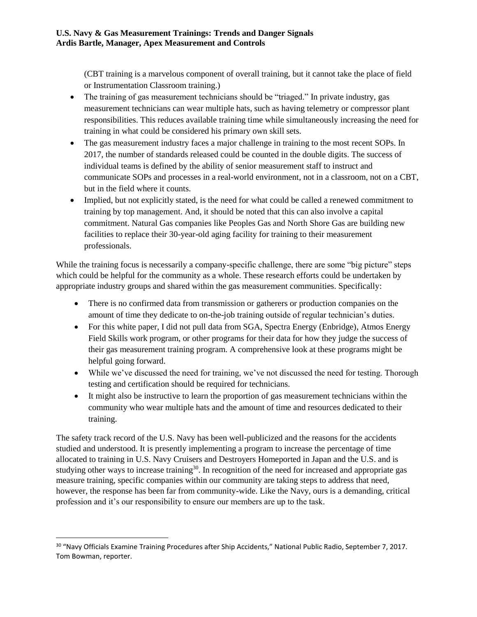(CBT training is a marvelous component of overall training, but it cannot take the place of field or Instrumentation Classroom training.)

- The training of gas measurement technicians should be "triaged." In private industry, gas measurement technicians can wear multiple hats, such as having telemetry or compressor plant responsibilities. This reduces available training time while simultaneously increasing the need for training in what could be considered his primary own skill sets.
- The gas measurement industry faces a major challenge in training to the most recent SOPs. In 2017, the number of standards released could be counted in the double digits. The success of individual teams is defined by the ability of senior measurement staff to instruct and communicate SOPs and processes in a real-world environment, not in a classroom, not on a CBT, but in the field where it counts.
- Implied, but not explicitly stated, is the need for what could be called a renewed commitment to training by top management. And, it should be noted that this can also involve a capital commitment. Natural Gas companies like Peoples Gas and North Shore Gas are building new facilities to replace their 30-year-old aging facility for training to their measurement professionals.

While the training focus is necessarily a company-specific challenge, there are some "big picture" steps which could be helpful for the community as a whole. These research efforts could be undertaken by appropriate industry groups and shared within the gas measurement communities. Specifically:

- There is no confirmed data from transmission or gatherers or production companies on the amount of time they dedicate to on-the-job training outside of regular technician's duties.
- For this white paper, I did not pull data from SGA, Spectra Energy (Enbridge), Atmos Energy Field Skills work program, or other programs for their data for how they judge the success of their gas measurement training program. A comprehensive look at these programs might be helpful going forward.
- While we've discussed the need for training, we've not discussed the need for testing. Thorough testing and certification should be required for technicians.
- It might also be instructive to learn the proportion of gas measurement technicians within the community who wear multiple hats and the amount of time and resources dedicated to their training.

The safety track record of the U.S. Navy has been well-publicized and the reasons for the accidents studied and understood. It is presently implementing a program to increase the percentage of time allocated to training in U.S. Navy Cruisers and Destroyers Homeported in Japan and the U.S. and is studying other ways to increase training<sup>30</sup>. In recognition of the need for increased and appropriate gas measure training, specific companies within our community are taking steps to address that need, however, the response has been far from community-wide. Like the Navy, ours is a demanding, critical profession and it's our responsibility to ensure our members are up to the task.

 $\overline{\phantom{a}}$ <sup>30</sup> "Navy Officials Examine Training Procedures after Ship Accidents," National Public Radio, September 7, 2017. Tom Bowman, reporter.